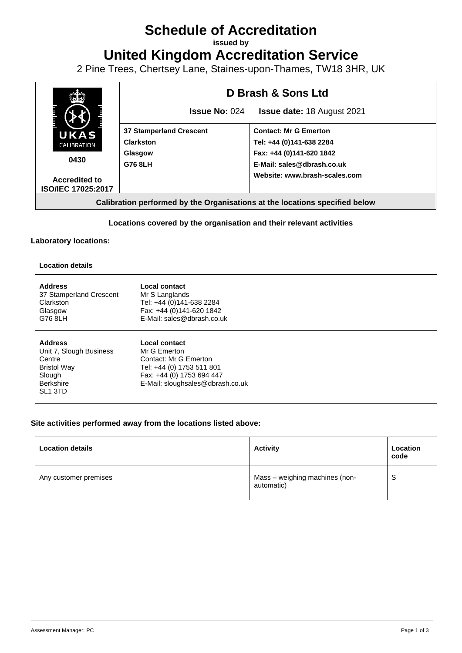# **Schedule of Accreditation**

**issued by**

**United Kingdom Accreditation Service**

2 Pine Trees, Chertsey Lane, Staines-upon-Thames, TW18 3HR, UK



## **Locations covered by the organisation and their relevant activities**

### **Laboratory locations:**

| <b>Location details</b>                                                                                                 |                                                                                                                                                      |  |  |  |  |
|-------------------------------------------------------------------------------------------------------------------------|------------------------------------------------------------------------------------------------------------------------------------------------------|--|--|--|--|
| <b>Address</b><br>37 Stamperland Crescent<br>Clarkston<br>Glasgow<br>G76 8LH                                            | Local contact<br>Mr S Langlands<br>Tel: +44 (0)141-638 2284<br>Fax: +44 (0)141-620 1842<br>E-Mail: sales@dbrash.co.uk                                |  |  |  |  |
| <b>Address</b><br>Unit 7, Slough Business<br>Centre<br><b>Bristol Way</b><br>Slough<br>Berkshire<br>SL <sub>1</sub> 3TD | Local contact<br>Mr G Emerton<br>Contact: Mr G Emerton<br>Tel: +44 (0) 1753 511 801<br>Fax: +44 (0) 1753 694 447<br>E-Mail: sloughsales@dbrash.co.uk |  |  |  |  |

### **Site activities performed away from the locations listed above:**

| <b>Location details</b> | <b>Activity</b>                              | Location<br>code |
|-------------------------|----------------------------------------------|------------------|
| Any customer premises   | Mass - weighing machines (non-<br>automatic) | c<br>v           |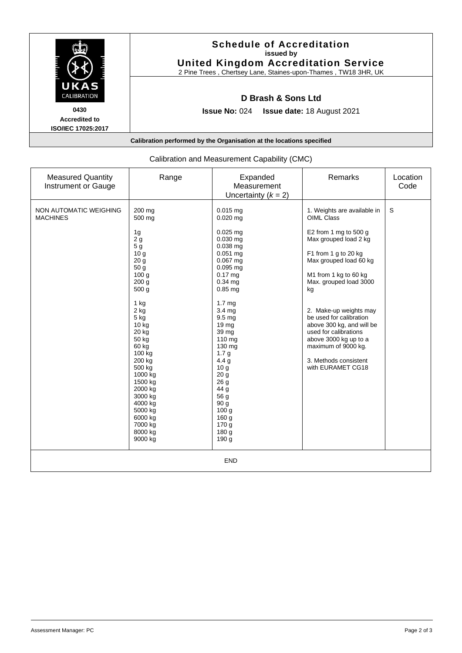

| <b>Measured Quantity</b><br>Instrument or Gauge | Range                                                                                                                                                                                                                                                                                                                                                                        | Expanded<br>Measurement<br>Uncertainty $(k = 2)$                                                                                                                                                                                                                                                                                                                                                                                                             | Remarks                                                                                                                                                                                                                                                                                                                                                                                                         | Location<br>Code |  |  |
|-------------------------------------------------|------------------------------------------------------------------------------------------------------------------------------------------------------------------------------------------------------------------------------------------------------------------------------------------------------------------------------------------------------------------------------|--------------------------------------------------------------------------------------------------------------------------------------------------------------------------------------------------------------------------------------------------------------------------------------------------------------------------------------------------------------------------------------------------------------------------------------------------------------|-----------------------------------------------------------------------------------------------------------------------------------------------------------------------------------------------------------------------------------------------------------------------------------------------------------------------------------------------------------------------------------------------------------------|------------------|--|--|
| NON AUTOMATIC WEIGHING<br><b>MACHINES</b>       | 200 mg<br>500 mg<br>1g<br>2 <sub>g</sub><br>5 <sub>g</sub><br>10 <sub>g</sub><br>20 <sub>q</sub><br>50 <sub>g</sub><br>100 <sub>g</sub><br>200 <sub>g</sub><br>500 g<br>1 kg<br>2 kg<br>5 kg<br>10 kg<br>20 kg<br>50 kg<br>60 kg<br>100 kg<br>200 kg<br>500 kg<br>1000 kg<br>1500 kg<br>2000 kg<br>3000 kg<br>4000 kg<br>5000 kg<br>6000 kg<br>7000 kg<br>8000 kg<br>9000 kg | $0.015$ mg<br>$0.020$ mg<br>$0.025$ mg<br>$0.030$ mg<br>$0.038$ mg<br>$0.051$ mg<br>$0.067$ mg<br>$0.095$ mg<br>$0.17 \text{ ma}$<br>$0.34$ ma<br>$0.85$ mg<br>1.7 <sub>mg</sub><br>3.4 mg<br>9.5 <sub>mg</sub><br>19 <sub>mg</sub><br>39 mg<br>110 mg<br>130 mg<br>1.7 <sub>g</sub><br>4.4 <sub>g</sub><br>10 <sub>g</sub><br>20 <sub>g</sub><br>26 g<br>44 g<br>56 g<br>90 g<br>100 <sub>g</sub><br>160 g<br>170 <sub>g</sub><br>180 <sub>g</sub><br>190 g | 1. Weights are available in<br>OIML Class<br>E2 from 1 mg to 500 g<br>Max grouped load 2 kg<br>F1 from 1 g to 20 kg<br>Max grouped load 60 kg<br>M1 from 1 kg to 60 kg<br>Max. grouped load 3000<br>kg<br>2. Make-up weights may<br>be used for calibration<br>above 300 kg, and will be<br>used for calibrations<br>above 3000 kg up to a<br>maximum of 9000 kg.<br>3. Methods consistent<br>with EURAMET CG18 | S                |  |  |
| <b>END</b>                                      |                                                                                                                                                                                                                                                                                                                                                                              |                                                                                                                                                                                                                                                                                                                                                                                                                                                              |                                                                                                                                                                                                                                                                                                                                                                                                                 |                  |  |  |

# Calibration and Measurement Capability (CMC)